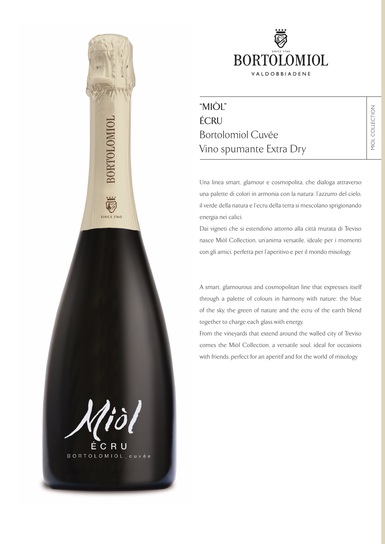

# "MIÒL" ÉCRU Bortolomiol Cuvée Vino spumante Extra Dry

Una linea smart, glamour e cosmopolita, che dialoga attraverso una palette di colori in armonia con la natura: l'azzurro del cielo, il verde della natura e l'ecru della terra si mescolano sprigionando energia nei calici.

Dai vigneti che si estendono attorno alla città murata di Treviso nasce Miòl Collection, un'anima versatile, ideale per i momenti con gli amici, perfetta per l'aperitivo e per il mondo mixology.

A smart, glamourous and cosmopolitan line that expresses itself through a palette of colours in harmony with nature: the blue of the sky, the green of nature and the ecru of the earth blend together to charge each glass with energy.

From the vineyards that extend around the walled city of Treviso comes the Miòl Collection, a versatile soul, ideal for occasions with friends, perfect for an aperitif and for the world of mixology.

ÉCRU

BORTOLOMI

**SINCE 1760** 

BORTOLOMIOL\_cuvée